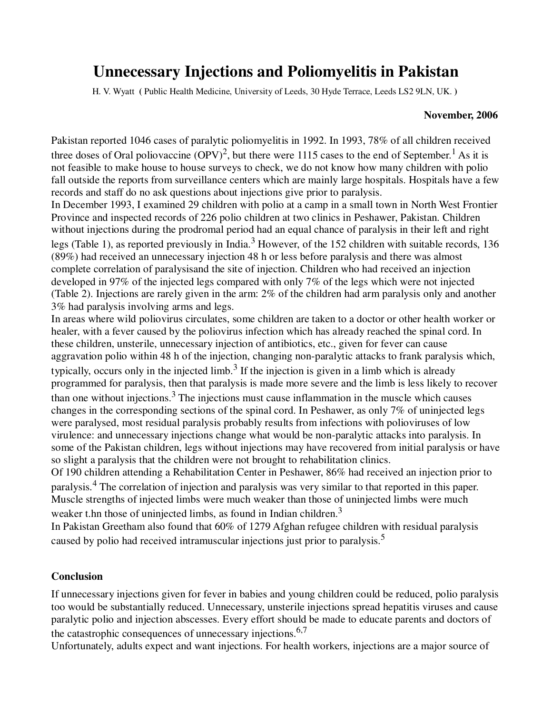# **Unnecessary Injections and Poliomyelitis in Pakistan**

H. V. Wyatt **(** Public Health Medicine, University of Leeds, 30 Hyde Terrace, Leeds LS2 9LN, UK. **)** 

#### **November, 2006**

Pakistan reported 1046 cases of paralytic poliomyelitis in 1992. In 1993, 78% of all children received three doses of Oral poliovaccine  $(OPV)^2$ , but there were 1115 cases to the end of September.<sup>1</sup> As it is not feasible to make house to house surveys to check, we do not know how many children with polio fall outside the reports from surveillance centers which are mainly large hospitals. Hospitals have a few records and staff do no ask questions about injections give prior to paralysis.

In December 1993, I examined 29 children with polio at a camp in a small town in North West Frontier Province and inspected records of 226 polio children at two clinics in Peshawer, Pakistan. Children without injections during the prodromal period had an equal chance of paralysis in their left and right legs (Table 1), as reported previously in India.<sup>3</sup> However, of the 152 children with suitable records, 136 (89%) had received an unnecessary injection 48 h or less before paralysis and there was almost complete correlation of paralysisand the site of injection. Children who had received an injection developed in 97% of the injected legs compared with only 7% of the legs which were not injected (Table 2). Injections are rarely given in the arm: 2% of the children had arm paralysis only and another 3% had paralysis involving arms and legs.

In areas where wild poliovirus circulates, some children are taken to a doctor or other health worker or healer, with a fever caused by the poliovirus infection which has already reached the spinal cord. In these children, unsterile, unnecessary injection of antibiotics, etc., given for fever can cause aggravation polio within 48 h of the injection, changing non-paralytic attacks to frank paralysis which, typically, occurs only in the injected limb.<sup>3</sup> If the injection is given in a limb which is already programmed for paralysis, then that paralysis is made more severe and the limb is less likely to recover than one without injections. $3$  The injections must cause inflammation in the muscle which causes changes in the corresponding sections of the spinal cord. In Peshawer, as only 7% of uninjected legs were paralysed, most residual paralysis probably results from infections with polioviruses of low virulence: and unnecessary injections change what would be non-paralytic attacks into paralysis. In some of the Pakistan children, legs without injections may have recovered from initial paralysis or have so slight a paralysis that the children were not brought to rehabilitation clinics.

Of 190 children attending a Rehabilitation Center in Peshawer, 86% had received an injection prior to paralysis.<sup>4</sup> The correlation of injection and paralysis was very similar to that reported in this paper. Muscle strengths of injected limbs were much weaker than those of uninjected limbs were much weaker t.hn those of uninjected limbs, as found in Indian children. $3$ 

In Pakistan Greetham also found that 60% of 1279 Afghan refugee children with residual paralysis caused by polio had received intramuscular injections just prior to paralysis.<sup>5</sup>

### **Conclusion**

If unnecessary injections given for fever in babies and young children could be reduced, polio paralysis too would be substantially reduced. Unnecessary, unsterile injections spread hepatitis viruses and cause paralytic polio and injection abscesses. Every effort should be made to educate parents and doctors of the catastrophic consequences of unnecessary injections.  $6,7$ 

Unfortunately, adults expect and want injections. For health workers, injections are a major source of